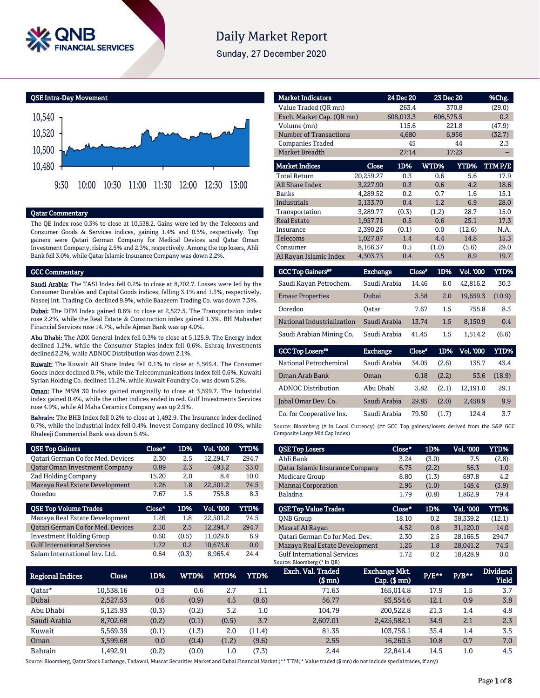

# **Daily Market Report**

Sunday, 27 December 2020

QSE Intra-Day Movement



## Qatar Commentary

The QE Index rose 0.3% to close at 10,538.2. Gains were led by the Telecoms and Consumer Goods & Services indices, gaining 1.4% and 0.5%, respectively. Top gainers were Qatari German Company for Medical Devices and Qatar Oman Investment Company, rising 2.5% and 2.3%, respectively. Among the top losers, Ahli Bank fell 3.0%, while Qatar Islamic Insurance Company was down 2.2%.

#### GCC Commentary

Saudi Arabia: The TASI Index fell 0.2% to close at 8,702.7. Losses were led by the Consumer Durables and Capital Goods indices, falling 3.1% and 1.3%, respectively. Naseej Int. Trading Co. declined 9.9%, while Baazeem Trading Co. was down 7.3%.

Dubai: The DFM Index gained 0.6% to close at 2,527.5. The Transportation index rose 2.2%, while the Real Estate & Construction index gained 1.3%. BH Mubasher Financial Services rose 14.7%, while Ajman Bank was up 4.0%.

Abu Dhabi: The ADX General Index fell 0.3% to close at 5,125.9. The Energy index declined 1.2%, while the Consumer Staples index fell 0.6%. Eshraq Investments declined 2.2%, while ADNOC Distribution was down 2.1%.

Kuwait: The Kuwait All Share Index fell 0.1% to close at 5,569.4. The Consumer Goods index declined 0.7%, while the Telecommunications index fell 0.6%. Kuwaiti Syrian Holding Co. declined 11.2%, while Kuwait Foundry Co. was down 5.2%.

Oman: The MSM 30 Index gained marginally to close at 3,599.7. The Industrial index gained 0.4%, while the other indices ended in red. Gulf Investments Services rose 4.9%, while Al Maha Ceramics Company was up 2.9%.

Bahrain: The BHB Index fell 0.2% to close at 1,492.9. The Insurance index declined 0.7%, while the Industrial index fell 0.4%. Inovest Company declined 10.0%, while Khaleeji Commercial Bank was down 5.4%.

| <b>QSE Top Gainers</b>                   | Close* | 1D%   | Vol. '000 | <b>YTD%</b> |
|------------------------------------------|--------|-------|-----------|-------------|
| <b>Qatari German Co for Med. Devices</b> | 2.30   | 2.5   | 12,294.7  | 294.7       |
| <b>Qatar Oman Investment Company</b>     | 0.89   | 2.3   | 693.2     | 33.0        |
| <b>Zad Holding Company</b>               | 15.20  | 2.0   | 8.4       | 10.0        |
| Mazaya Real Estate Development           | 1.26   | 1.8   | 22,501.2  | 74.5        |
| Ooredoo                                  | 7.67   | 1.5   | 755.8     | 8.3         |
|                                          |        |       |           |             |
| <b>QSE Top Volume Trades</b>             | Close* | 1D%   | Vol. '000 | <b>YTD%</b> |
| Mazaya Real Estate Development           | 1.26   | 1.8   | 22.501.2  | 74.5        |
| <b>Qatari German Co for Med. Devices</b> | 2.30   | 2.5   | 12,294.7  | 294.7       |
| <b>Investment Holding Group</b>          | 0.60   | (0.5) | 11.029.6  | 6.9         |
| <b>Gulf International Services</b>       | 1.72   | 0.2   | 10.673.6  | 0.0         |

| <b>Market Indicators</b>      |           | 24 Dec 20 |       | 23 Dec 20   | %Chg.  |
|-------------------------------|-----------|-----------|-------|-------------|--------|
| Value Traded (OR mn)          |           | 263.4     |       | 370.8       | (29.0) |
| Exch. Market Cap. (QR mn)     |           | 608,013.3 |       | 606,575.5   | 0.2    |
| Volume (mn)                   |           | 115.6     |       | 221.8       | (47.9) |
| <b>Number of Transactions</b> |           | 4,680     |       | 6,956       | (32.7) |
| <b>Companies Traded</b>       |           | 45        |       | 44          | 2.3    |
| <b>Market Breadth</b>         |           | 27:14     |       | 17:23       |        |
| <b>Market Indices</b>         | Close     | 1D%       | WTD%  | <b>YTD%</b> | TTMP/E |
| <b>Total Return</b>           | 20,259.27 | 0.3       | 0.6   | 5.6         | 17.9   |
| <b>All Share Index</b>        | 3,227.90  | 0.3       | 0.6   | 4.2         | 18.6   |
| <b>Banks</b>                  | 4.289.52  | 0.2       | 0.7   | 1.6         | 15.1   |
| <b>Industrials</b>            | 3.133.70  | 0.4       | 1.2   | 6.9         | 28.0   |
| Transportation                | 3.289.77  | (0.3)     | (1.2) | 28.7        | 15.0   |
| <b>Real Estate</b>            | 1,957.71  | 0.5       | 0.6   | 25.1        | 17.3   |
| Insurance                     | 2,390.26  | (0.1)     | 0.0   | (12.6)      | N.A.   |
| <b>Telecoms</b>               | 1,027.87  | 1.4       | 4.4   | 14.8        | 15.3   |
| Consumer                      | 8,166.37  | 0.5       | (1.0) | (5.6)       | 29.0   |
| Al Rayan Islamic Index        | 4,303.73  | 0.4       | 0.5   | 8.9         | 19.7   |

| <b>GCC Top Gainers</b>     | <b>Exchange</b> | Close* | 1D% | <b>Vol. '000</b> | YTD%   |
|----------------------------|-----------------|--------|-----|------------------|--------|
| Saudi Kayan Petrochem.     | Saudi Arabia    | 14.46  | 6.0 | 42,816.2         | 30.3   |
| <b>Emaar Properties</b>    | Dubai           | 3.58   | 2.0 | 19.659.3         | (10.9) |
| Ooredoo                    | <b>Oatar</b>    | 7.67   | 1.5 | 755.8            | 8.3    |
| National Industrialization | Saudi Arabia    | 13.74  | 1.5 | 8.150.9          | 0.4    |
| Saudi Arabian Mining Co.   | Saudi Arabia    | 41.45  | 1.5 | 1.514.2          | (6.6)  |

| YTD%   |
|--------|
| 43.4   |
| (18.9) |
| 29.1   |
| 9.9    |
| 3.7    |
|        |

Source: Bloomberg (# in Local Currency) (## GCC Top gainers/losers derived from the S&P GCC Composite Large Mid Cap Index)

| <b>QSE Top Losers</b>                  | Close* | 1D%   | Vol. '000 | <b>YTD%</b> |
|----------------------------------------|--------|-------|-----------|-------------|
| Ahli Bank                              | 3.24   | (3.0) | 7.5       | (2.8)       |
| <b>Qatar Islamic Insurance Company</b> | 6.75   | (2.2) | 56.3      | 1.0         |
| <b>Medicare Group</b>                  | 8.80   | (1.3) | 697.8     | 4.2         |
| <b>Mannai Corporation</b>              | 2.96   | (1.0) | 148.4     | (3.9)       |
| Baladna                                | 1.79   | (0.8) | 1.862.9   | 79.4        |
|                                        |        |       |           |             |
|                                        |        |       |           |             |
| <b>OSE Top Value Trades</b>            | Close* | 1D%   | Val. '000 | <b>YTD%</b> |
| <b>ONB</b> Group                       | 18.10  | 0.2   | 38.339.2  | (12.1)      |
| Masraf Al Rayan                        | 4.52   | 0.8   | 31.120.0  | 14.0        |
| Oatari German Co for Med. Dev.         | 2.30   | 2.5   | 28,166.5  | 294.7       |
| Mazaya Real Estate Development         | 1.26   | 1.8   | 28.041.2  | 74.5        |

| <b>Regional Indices</b> | Close     | 1D%   | WTD%  | MTD%  | YTD%    | Exch. Val. Traded<br>$$$ mn $)$ | Exchange Mkt.<br>$Cap.$ (\$ mn) | $P/E***$ | $P/B***$ | <b>Dividend</b><br><b>Yield</b> |
|-------------------------|-----------|-------|-------|-------|---------|---------------------------------|---------------------------------|----------|----------|---------------------------------|
| Oatar*                  | 10.538.16 | 0.3   | 0.6   | 2.7   | 1.1     | 71.63                           | 165.014.8                       | 17.9     | 1.5      | 3.7                             |
| Dubai                   | 2.527.53  | 0.6   | (0.9) | 4.5   | (8.6)   | 56.77                           | 93.554.6                        | 12.1     | 0.9      | 3.8                             |
| Abu Dhabi               | 5.125.93  | (0.3) | (0.2) | 3.2   | $1.0\,$ | 104.79                          | 200,522.8                       | 21.3     | 1.4      | 4.8                             |
| Saudi Arabia            | 8,702.68  | (0.2) | (0.1) | (0.5) | 3.7     | 2,607.01                        | 2,425,582.1                     | 34.9     | 2.1      | 2.3                             |
| Kuwait                  | 5,569.39  | (0.1) | (1.3) | 2.0   | (11.4)  | 81.35                           | 103.756.1                       | 35.4     | 1.4      | 3.5                             |
| Oman                    | 3.599.68  | 0.0   | (0.4) | (1.2) | (9.6)   | 2.55                            | 16.260.5                        | 10.8     | 0.7      | 7.0                             |
| <b>Bahrain</b>          | .492.91   | (0.2) | (0.0) | 1.0   | (7.3)   | 2.44                            | 22.841.4                        | 14.5     | 1.0      | 4.5                             |

Source: Bloomberg, Qatar Stock Exchange, Tadawul, Muscat Securities Market and Dubai Financial Market (\*\* TTM; \* Value traded (\$ mn) do not include special trades, if any)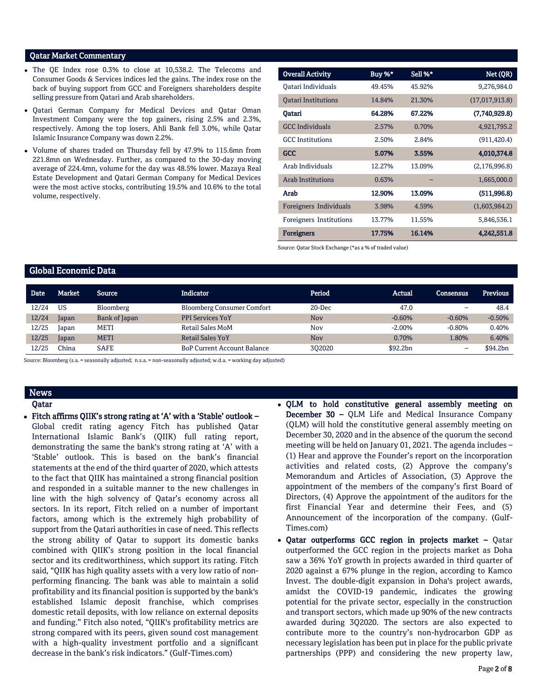# Qatar Market Commentary

- The QE Index rose 0.3% to close at 10,538.2. The Telecoms and Consumer Goods & Services indices led the gains. The index rose on the back of buying support from GCC and Foreigners shareholders despite selling pressure from Qatari and Arab shareholders.
- Qatari German Company for Medical Devices and Qatar Oman Investment Company were the top gainers, rising 2.5% and 2.3%, respectively. Among the top losers, Ahli Bank fell 3.0%, while Qatar Islamic Insurance Company was down 2.2%.
- Volume of shares traded on Thursday fell by 47.9% to 115.6mn from 221.8mn on Wednesday. Further, as compared to the 30-day moving average of 224.4mn, volume for the day was 48.5% lower. Mazaya Real Estate Development and Qatari German Company for Medical Devices were the most active stocks, contributing 19.5% and 10.6% to the total volume, respectively.

| <b>Overall Activity</b>    | Buy %* | Sell %* | Net (QR)       |
|----------------------------|--------|---------|----------------|
| Qatari Individuals         | 49.45% | 45.92%  | 9,276,984.0    |
| <b>Oatari Institutions</b> | 14.84% | 21.30%  | (17,017,913.8) |
| Qatari                     | 64.28% | 67.22%  | (7,740,929.8)  |
| <b>GCC Individuals</b>     | 2.57%  | 0.70%   | 4,921,795.2    |
| <b>GCC</b> Institutions    | 2.50%  | 2.84%   | (911, 420.4)   |
| GCC                        | 5.07%  | 3.55%   | 4,010,374.8    |
| Arab Individuals           | 12.27% | 13.09%  | (2,176,996.8)  |
| <b>Arab Institutions</b>   | 0.63%  |         | 1,665,000.0    |
| Arab                       | 12.90% | 13.09%  | (511, 996.8)   |
| Foreigners Individuals     | 3.98%  | 4.59%   | (1,603,984.2)  |
| Foreigners Institutions    | 13.77% | 11.55%  | 5,846,536.1    |
| <b>Foreigners</b>          | 17.75% | 16.14%  | 4,242,551.8    |

Source: Qatar Stock Exchange (\*as a % of traded value)

## Global Economic Data

| Date  | Market | Source        | <b>Indicator</b>                   | Period     | Actual    | <b>Consensus</b> | <b>Previous</b> |
|-------|--------|---------------|------------------------------------|------------|-----------|------------------|-----------------|
| 12/24 | US     | Bloomberg     | <b>Bloomberg Consumer Comfort</b>  | 20-Dec     | 47.0      | -                | 48.4            |
| 12/24 | Japan  | Bank of Japan | <b>PPI Services YoY</b>            | <b>Nov</b> | $-0.60%$  | $-0.60%$         | $-0.50%$        |
| 12/25 | Japan  | <b>METI</b>   | <b>Retail Sales MoM</b>            | Nov        | $-2.00\%$ | $-0.80%$         | 0.40%           |
| 12/25 | Japan  | <b>METI</b>   | <b>Retail Sales YoY</b>            | <b>Nov</b> | 0.70%     | 1.80%            | 6.40%           |
| 12/25 | China  | <b>SAFE</b>   | <b>BoP Current Account Balance</b> | 302020     | \$92.2bn  | -                | \$94.2bn        |

Source: Bloomberg (s.a. = seasonally adjusted; n.s.a. = non-seasonally adjusted; w.d.a. = working day adjusted)

# News

Qatar

- Fitch affirms QIIK's strong rating at 'A' with a 'Stable' outlook Global credit rating agency Fitch has published Qatar International Islamic Bank's (QIIK) full rating report, demonstrating the same the bank's strong rating at 'A' with a 'Stable' outlook. This is based on the bank's financial statements at the end of the third quarter of 2020, which attests to the fact that QIIK has maintained a strong financial position and responded in a suitable manner to the new challenges in line with the high solvency of Qatar's economy across all sectors. In its report, Fitch relied on a number of important factors, among which is the extremely high probability of support from the Qatari authorities in case of need. This reflects the strong ability of Qatar to support its domestic banks combined with QIIK's strong position in the local financial sector and its creditworthiness, which support its rating. Fitch said, "QIIK has high quality assets with a very low ratio of nonperforming financing. The bank was able to maintain a solid profitability and its financial position is supported by the bank's established Islamic deposit franchise, which comprises domestic retail deposits, with low reliance on external deposits and funding." Fitch also noted, "QIIK's profitability metrics are strong compared with its peers, given sound cost management with a high-quality investment portfolio and a significant decrease in the bank's risk indicators." (Gulf-Times.com)
- QLM to hold constitutive general assembly meeting on December 30 – QLM Life and Medical Insurance Company (QLM) will hold the constitutive general assembly meeting on December 30, 2020 and in the absence of the quorum the second meeting will be held on January 01, 2021. The agenda includes – (1) Hear and approve the Founder's report on the incorporation activities and related costs, (2) Approve the company's Memorandum and Articles of Association, (3) Approve the appointment of the members of the company's first Board of Directors, (4) Approve the appointment of the auditors for the first Financial Year and determine their Fees, and (5) Announcement of the incorporation of the company. (Gulf-Times.com)
- Qatar outperforms GCC region in projects market Qatar outperformed the GCC region in the projects market as Doha saw a 36% YoY growth in projects awarded in third quarter of 2020 against a 67% plunge in the region, according to Kamco Invest. The double-digit expansion in Doha's project awards, amidst the COVID-19 pandemic, indicates the growing potential for the private sector, especially in the construction and transport sectors, which made up 90% of the new contracts awarded during 3Q2020. The sectors are also expected to contribute more to the country's non-hydrocarbon GDP as necessary legislation has been put in place for the public private partnerships (PPP) and considering the new property law,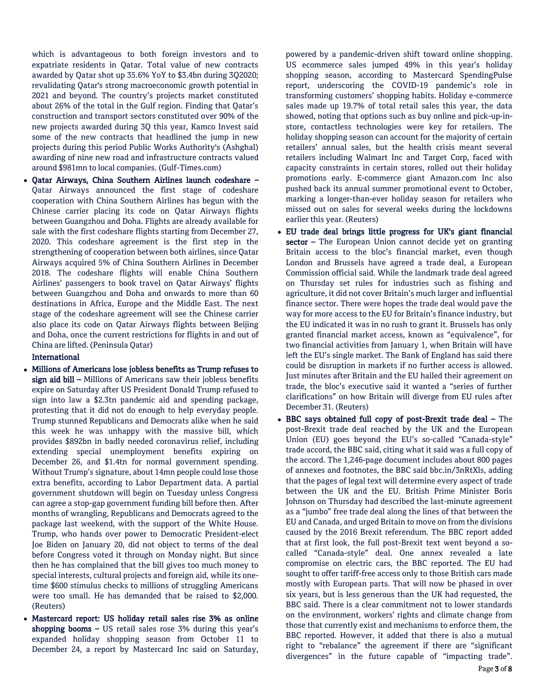which is advantageous to both foreign investors and to expatriate residents in Qatar. Total value of new contracts awarded by Qatar shot up 35.6% YoY to \$3.4bn during 3Q2020; revalidating Qatar's strong macroeconomic growth potential in 2021 and beyond. The country's projects market constituted about 26% of the total in the Gulf region. Finding that Qatar's construction and transport sectors constituted over 90% of the new projects awarded during 3Q this year, Kamco Invest said some of the new contracts that headlined the jump in new projects during this period Public Works Authority's (Ashghal) awarding of nine new road and infrastructure contracts valued around \$981mn to local companies. (Gulf-Times.com)

 Qatar Airways, China Southern Airlines launch codeshare – Qatar Airways announced the first stage of codeshare cooperation with China Southern Airlines has begun with the Chinese carrier placing its code on Qatar Airways flights between Guangzhou and Doha. Flights are already available for sale with the first codeshare flights starting from December 27, 2020. This codeshare agreement is the first step in the strengthening of cooperation between both airlines, since Qatar Airways acquired 5% of China Southern Airlines in December 2018. The codeshare flights will enable China Southern Airlines' passengers to book travel on Qatar Airways' flights between Guangzhou and Doha and onwards to more than 60 destinations in Africa, Europe and the Middle East. The next stage of the codeshare agreement will see the Chinese carrier also place its code on Qatar Airways flights between Beijing and Doha, once the current restrictions for flights in and out of China are lifted. (Peninsula Qatar)

## International

- Millions of Americans lose jobless benefits as Trump refuses to sign aid bill – Millions of Americans saw their jobless benefits expire on Saturday after US President Donald Trump refused to sign into law a \$2.3tn pandemic aid and spending package, protesting that it did not do enough to help everyday people. Trump stunned Republicans and Democrats alike when he said this week he was unhappy with the massive bill, which provides \$892bn in badly needed coronavirus relief, including extending special unemployment benefits expiring on December 26, and \$1.4tn for normal government spending. Without Trump's signature, about 14mn people could lose those extra benefits, according to Labor Department data. A partial government shutdown will begin on Tuesday unless Congress can agree a stop-gap government funding bill before then. After months of wrangling, Republicans and Democrats agreed to the package last weekend, with the support of the White House. Trump, who hands over power to Democratic President-elect Joe Biden on January 20, did not object to terms of the deal before Congress voted it through on Monday night. But since then he has complained that the bill gives too much money to special interests, cultural projects and foreign aid, while its onetime \$600 stimulus checks to millions of struggling Americans were too small. He has demanded that be raised to \$2,000. (Reuters)
- Mastercard report: US holiday retail sales rise 3% as online shopping booms  $-$  US retail sales rose 3% during this year's expanded holiday shopping season from October 11 to December 24, a report by Mastercard Inc said on Saturday,

powered by a pandemic-driven shift toward online shopping. US ecommerce sales jumped 49% in this year's holiday shopping season, according to Mastercard SpendingPulse report, underscoring the COVID-19 pandemic's role in transforming customers' shopping habits. Holiday e-commerce sales made up 19.7% of total retail sales this year, the data showed, noting that options such as buy online and pick-up-instore, contactless technologies were key for retailers. The holiday shopping season can account for the majority of certain retailers' annual sales, but the health crisis meant several retailers including Walmart Inc and Target Corp, faced with capacity constraints in certain stores, rolled out their holiday promotions early. E-commerce giant Amazon.com Inc also pushed back its annual summer promotional event to October, marking a longer-than-ever holiday season for retailers who missed out on sales for several weeks during the lockdowns earlier this year. (Reuters)

- EU trade deal brings little progress for UK's giant financial sector - The European Union cannot decide yet on granting Britain access to the bloc's financial market, even though London and Brussels have agreed a trade deal, a European Commission official said. While the landmark trade deal agreed on Thursday set rules for industries such as fishing and agriculture, it did not cover Britain's much larger and influential finance sector. There were hopes the trade deal would pave the way for more access to the EU for Britain's finance industry, but the EU indicated it was in no rush to grant it. Brussels has only granted financial market access, known as "equivalence", for two financial activities from January 1, when Britain will have left the EU's single market. The Bank of England has said there could be disruption in markets if no further access is allowed. Just minutes after Britain and the EU hailed their agreement on trade, the bloc's executive said it wanted a "series of further clarifications" on how Britain will diverge from EU rules after December 31. (Reuters)
- BBC says obtained full copy of post-Brexit trade deal The post-Brexit trade deal reached by the UK and the European Union (EU) goes beyond the EU's so-called "Canada-style" trade accord, the BBC said, citing what it said was a full copy of the accord. The 1,246-page document includes about 800 pages of annexes and footnotes, the BBC said bbc.in/3nRtXls, adding that the pages of legal text will determine every aspect of trade between the UK and the EU. British Prime Minister Boris Johnson on Thursday had described the last-minute agreement as a "jumbo" free trade deal along the lines of that between the EU and Canada, and urged Britain to move on from the divisions caused by the 2016 Brexit referendum. The BBC report added that at first look, the full post-Brexit text went beyond a socalled "Canada-style" deal. One annex revealed a late compromise on electric cars, the BBC reported. The EU had sought to offer tariff-free access only to those British cars made mostly with European parts. That will now be phased in over six years, but is less generous than the UK had requested, the BBC said. There is a clear commitment not to lower standards on the environment, workers' rights and climate change from those that currently exist and mechanisms to enforce them, the BBC reported. However, it added that there is also a mutual right to "rebalance" the agreement if there are "significant divergences" in the future capable of "impacting trade".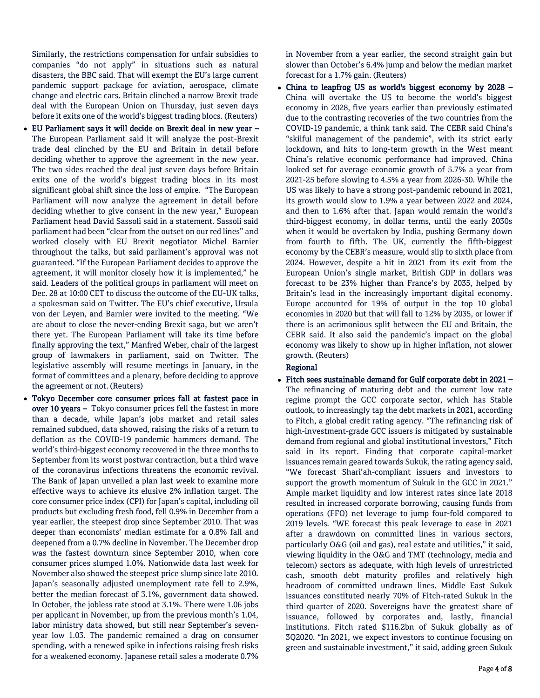Similarly, the restrictions compensation for unfair subsidies to companies "do not apply" in situations such as natural disasters, the BBC said. That will exempt the EU's large current pandemic support package for aviation, aerospace, climate change and electric cars. Britain clinched a narrow Brexit trade deal with the European Union on Thursday, just seven days before it exits one of the world's biggest trading blocs. (Reuters)

- EU Parliament says it will decide on Brexit deal in new year The European Parliament said it will analyze the post-Brexit trade deal clinched by the EU and Britain in detail before deciding whether to approve the agreement in the new year. The two sides reached the deal just seven days before Britain exits one of the world's biggest trading blocs in its most significant global shift since the loss of empire. "The European Parliament will now analyze the agreement in detail before deciding whether to give consent in the new year," European Parliament head David Sassoli said in a statement. Sassoli said parliament had been "clear from the outset on our red lines" and worked closely with EU Brexit negotiator Michel Barnier throughout the talks, but said parliament's approval was not guaranteed. "If the European Parliament decides to approve the agreement, it will monitor closely how it is implemented," he said. Leaders of the political groups in parliament will meet on Dec. 28 at 10:00 CET to discuss the outcome of the EU-UK talks, a spokesman said on Twitter. The EU's chief executive, Ursula von der Leyen, and Barnier were invited to the meeting. "We are about to close the never-ending Brexit saga, but we aren't there yet. The European Parliament will take its time before finally approving the text," Manfred Weber, chair of the largest group of lawmakers in parliament, said on Twitter. The legislative assembly will resume meetings in January, in the format of committees and a plenary, before deciding to approve the agreement or not. (Reuters)
- Tokyo December core consumer prices fall at fastest pace in over 10 years - Tokyo consumer prices fell the fastest in more than a decade, while Japan's jobs market and retail sales remained subdued, data showed, raising the risks of a return to deflation as the COVID-19 pandemic hammers demand. The world's third-biggest economy recovered in the three months to September from its worst postwar contraction, but a third wave of the coronavirus infections threatens the economic revival. The Bank of Japan unveiled a plan last week to examine more effective ways to achieve its elusive 2% inflation target. The core consumer price index (CPI) for Japan's capital, including oil products but excluding fresh food, fell 0.9% in December from a year earlier, the steepest drop since September 2010. That was deeper than economists' median estimate for a 0.8% fall and deepened from a 0.7% decline in November. The December drop was the fastest downturn since September 2010, when core consumer prices slumped 1.0%. Nationwide data last week for November also showed the steepest price slump since late 2010. Japan's seasonally adjusted unemployment rate fell to 2.9%, better the median forecast of 3.1%, government data showed. In October, the jobless rate stood at 3.1%. There were 1.06 jobs per applicant in November, up from the previous month's 1.04, labor ministry data showed, but still near September's sevenyear low 1.03. The pandemic remained a drag on consumer spending, with a renewed spike in infections raising fresh risks for a weakened economy. Japanese retail sales a moderate 0.7%

in November from a year earlier, the second straight gain but slower than October's 6.4% jump and below the median market forecast for a 1.7% gain. (Reuters)

 China to leapfrog US as world's biggest economy by 2028 – China will overtake the US to become the world's biggest economy in 2028, five years earlier than previously estimated due to the contrasting recoveries of the two countries from the COVID-19 pandemic, a think tank said. The CEBR said China's "skilful management of the pandemic", with its strict early lockdown, and hits to long-term growth in the West meant China's relative economic performance had improved. China looked set for average economic growth of 5.7% a year from 2021-25 before slowing to 4.5% a year from 2026-30. While the US was likely to have a strong post-pandemic rebound in 2021, its growth would slow to 1.9% a year between 2022 and 2024, and then to 1.6% after that. Japan would remain the world's third-biggest economy, in dollar terms, until the early 2030s when it would be overtaken by India, pushing Germany down from fourth to fifth. The UK, currently the fifth-biggest economy by the CEBR's measure, would slip to sixth place from 2024. However, despite a hit in 2021 from its exit from the European Union's single market, British GDP in dollars was forecast to be 23% higher than France's by 2035, helped by Britain's lead in the increasingly important digital economy. Europe accounted for 19% of output in the top 10 global economies in 2020 but that will fall to 12% by 2035, or lower if there is an acrimonious split between the EU and Britain, the CEBR said. It also said the pandemic's impact on the global economy was likely to show up in higher inflation, not slower growth. (Reuters)

# Regional

 Fitch sees sustainable demand for Gulf corporate debt in 2021 – The refinancing of maturing debt and the current low rate regime prompt the GCC corporate sector, which has Stable outlook, to increasingly tap the debt markets in 2021, according to Fitch, a global credit rating agency. "The refinancing risk of high-investment-grade GCC issuers is mitigated by sustainable demand from regional and global institutional investors," Fitch said in its report. Finding that corporate capital-market issuances remain geared towards Sukuk, the rating agency said, "We forecast Shari'ah-compliant issuers and investors to support the growth momentum of Sukuk in the GCC in 2021." Ample market liquidity and low interest rates since late 2018 resulted in increased corporate borrowing, causing funds from operations (FFO) net leverage to jump four-fold compared to 2019 levels. "WE forecast this peak leverage to ease in 2021 after a drawdown on committed lines in various sectors, particularly O&G (oil and gas), real estate and utilities," it said, viewing liquidity in the O&G and TMT (technology, media and telecom) sectors as adequate, with high levels of unrestricted cash, smooth debt maturity profiles and relatively high headroom of committed undrawn lines. Middle East Sukuk issuances constituted nearly 70% of Fitch-rated Sukuk in the third quarter of 2020. Sovereigns have the greatest share of issuance, followed by corporates and, lastly, financial institutions. Fitch rated \$116.2bn of Sukuk globally as of 3Q2020. "In 2021, we expect investors to continue focusing on green and sustainable investment," it said, adding green Sukuk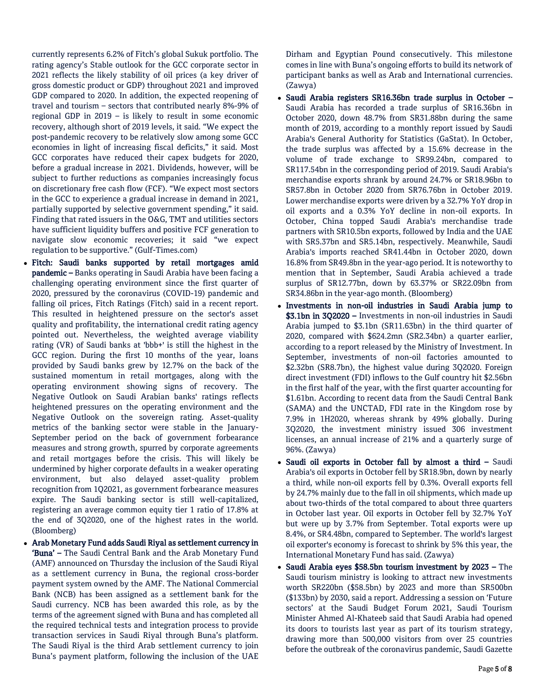currently represents 6.2% of Fitch's global Sukuk portfolio. The rating agency's Stable outlook for the GCC corporate sector in 2021 reflects the likely stability of oil prices (a key driver of gross domestic product or GDP) throughout 2021 and improved GDP compared to 2020. In addition, the expected reopening of travel and tourism – sectors that contributed nearly 8%-9% of regional GDP in 2019 – is likely to result in some economic recovery, although short of 2019 levels, it said. "We expect the post-pandemic recovery to be relatively slow among some GCC economies in light of increasing fiscal deficits," it said. Most GCC corporates have reduced their capex budgets for 2020, before a gradual increase in 2021. Dividends, however, will be subject to further reductions as companies increasingly focus on discretionary free cash flow (FCF). "We expect most sectors in the GCC to experience a gradual increase in demand in 2021, partially supported by selective government spending," it said. Finding that rated issuers in the O&G, TMT and utilities sectors have sufficient liquidity buffers and positive FCF generation to navigate slow economic recoveries; it said "we expect regulation to be supportive." (Gulf-Times.com)

- Fitch: Saudi banks supported by retail mortgages amid pandemic – Banks operating in Saudi Arabia have been facing a challenging operating environment since the first quarter of 2020, pressured by the coronavirus (COVID-19) pandemic and falling oil prices, Fitch Ratings (Fitch) said in a recent report. This resulted in heightened pressure on the sector's asset quality and profitability, the international credit rating agency pointed out. Nevertheless, the weighted average viability rating (VR) of Saudi banks at 'bbb+' is still the highest in the GCC region. During the first 10 months of the year, loans provided by Saudi banks grew by 12.7% on the back of the sustained momentum in retail mortgages, along with the operating environment showing signs of recovery. The Negative Outlook on Saudi Arabian banks' ratings reflects heightened pressures on the operating environment and the Negative Outlook on the sovereign rating. Asset-quality metrics of the banking sector were stable in the January-September period on the back of government forbearance measures and strong growth, spurred by corporate agreements and retail mortgages before the crisis. This will likely be undermined by higher corporate defaults in a weaker operating environment, but also delayed asset-quality problem recognition from 1Q2021, as government forbearance measures expire. The Saudi banking sector is still well-capitalized, registering an average common equity tier 1 ratio of 17.8% at the end of 3Q2020, one of the highest rates in the world. (Bloomberg)
- Arab Monetary Fund adds Saudi Riyal as settlement currency in 'Buna' - The Saudi Central Bank and the Arab Monetary Fund (AMF) announced on Thursday the inclusion of the Saudi Riyal as a settlement currency in Buna, the regional cross-border payment system owned by the AMF. The National Commercial Bank (NCB) has been assigned as a settlement bank for the Saudi currency. NCB has been awarded this role, as by the terms of the agreement signed with Buna and has completed all the required technical tests and integration process to provide transaction services in Saudi Riyal through Buna's platform. The Saudi Riyal is the third Arab settlement currency to join Buna's payment platform, following the inclusion of the UAE

Dirham and Egyptian Pound consecutively. This milestone comes in line with Buna's ongoing efforts to build its network of participant banks as well as Arab and International currencies. (Zawya)

- Saudi Arabia registers SR16.36bn trade surplus in October Saudi Arabia has recorded a trade surplus of SR16.36bn in October 2020, down 48.7% from SR31.88bn during the same month of 2019, according to a monthly report issued by Saudi Arabia's General Authority for Statistics (GaStat). In October, the trade surplus was affected by a 15.6% decrease in the volume of trade exchange to SR99.24bn, compared to SR117.54bn in the corresponding period of 2019. Saudi Arabia's merchandise exports shrank by around 24.7% or SR18.96bn to SR57.8bn in October 2020 from SR76.76bn in October 2019. Lower merchandise exports were driven by a 32.7% YoY drop in oil exports and a 0.3% YoY decline in non-oil exports. In October, China topped Saudi Arabia's merchandise trade partners with SR10.5bn exports, followed by India and the UAE with SR5.37bn and SR5.14bn, respectively. Meanwhile, Saudi Arabia's imports reached SR41.44bn in October 2020, down 16.8% from SR49.8bn in the year-ago period. It is noteworthy to mention that in September, Saudi Arabia achieved a trade surplus of SR12.77bn, down by 63.37% or SR22.09bn from SR34.86bn in the year-ago month. (Bloomberg)
- Investments in non-oil industries in Saudi Arabia jump to \$3.1bn in 3Q2020 – Investments in non-oil industries in Saudi Arabia jumped to \$3.1bn (SR11.63bn) in the third quarter of 2020, compared with \$624.2mn (SR2.34bn) a quarter earlier, according to a report released by the Ministry of Investment. In September, investments of non-oil factories amounted to \$2.32bn (SR8.7bn), the highest value during 3Q2020. Foreign direct investment (FDI) inflows to the Gulf country hit \$2.56bn in the first half of the year, with the first quarter accounting for \$1.61bn. According to recent data from the Saudi Central Bank (SAMA) and the UNCTAD, FDI rate in the Kingdom rose by 7.9% in 1H2020, whereas shrank by 49% globally. During 3Q2020, the investment ministry issued 306 investment licenses, an annual increase of 21% and a quarterly surge of 96%. (Zawya)
- Saudi oil exports in October fall by almost a third Saudi Arabia's oil exports in October fell by SR18.9bn, down by nearly a third, while non-oil exports fell by 0.3%. Overall exports fell by 24.7% mainly due to the fall in oil shipments, which made up about two-thirds of the total compared to about three quarters in October last year. Oil exports in October fell by 32.7% YoY but were up by 3.7% from September. Total exports were up 8.4%, or SR4.48bn, compared to September. The world's largest oil exporter's economy is forecast to shrink by 5% this year, the International Monetary Fund has said. (Zawya)
- Saudi Arabia eyes \$58.5bn tourism investment by 2023 The Saudi tourism ministry is looking to attract new investments worth SR220bn (\$58.5bn) by 2023 and more than SR500bn (\$133bn) by 2030, said a report. Addressing a session on 'Future sectors' at the Saudi Budget Forum 2021, Saudi Tourism Minister Ahmed Al-Khateeb said that Saudi Arabia had opened its doors to tourists last year as part of its tourism strategy, drawing more than 500,000 visitors from over 25 countries before the outbreak of the coronavirus pandemic, Saudi Gazette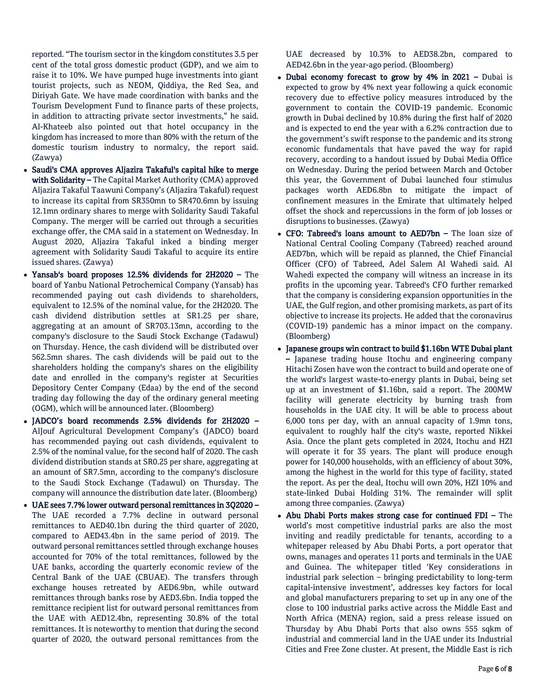reported. "The tourism sector in the kingdom constitutes 3.5 per cent of the total gross domestic product (GDP), and we aim to raise it to 10%. We have pumped huge investments into giant tourist projects, such as NEOM, Qiddiya, the Red Sea, and Diriyah Gate. We have made coordination with banks and the Tourism Development Fund to finance parts of these projects, in addition to attracting private sector investments," he said. Al-Khateeb also pointed out that hotel occupancy in the kingdom has increased to more than 80% with the return of the domestic tourism industry to normalcy, the report said. (Zawya)

- Saudi's CMA approves Aljazira Takaful's capital hike to merge with Solidarity – The Capital Market Authority (CMA) approved Aljazira Takaful Taawuni Company's (Aljazira Takaful) request to increase its capital from SR350mn to SR470.6mn by issuing 12.1mn ordinary shares to merge with Solidarity Saudi Takaful Company. The merger will be carried out through a securities exchange offer, the CMA said in a statement on Wednesday. In August 2020, Aljazira Takaful inked a binding merger agreement with Solidarity Saudi Takaful to acquire its entire issued shares. (Zawya)
- Yansab's board proposes 12.5% dividends for 2H2020 The board of Yanbu National Petrochemical Company (Yansab) has recommended paying out cash dividends to shareholders, equivalent to 12.5% of the nominal value, for the 2H2020. The cash dividend distribution settles at SR1.25 per share, aggregating at an amount of SR703.13mn, according to the company's disclosure to the Saudi Stock Exchange (Tadawul) on Thursday. Hence, the cash dividend will be distributed over 562.5mn shares. The cash dividends will be paid out to the shareholders holding the company's shares on the eligibility date and enrolled in the company's register at Securities Depository Center Company (Edaa) by the end of the second trading day following the day of the ordinary general meeting (OGM), which will be announced later. (Bloomberg)
- JADCO's board recommends 2.5% dividends for 2H2020 AlJouf Agricultural Development Company's (JADCO) board has recommended paying out cash dividends, equivalent to 2.5% of the nominal value, for the second half of 2020. The cash dividend distribution stands at SR0.25 per share, aggregating at an amount of SR7.5mn, according to the company's disclosure to the Saudi Stock Exchange (Tadawul) on Thursday. The company will announce the distribution date later. (Bloomberg)
- UAE sees 7.7% lower outward personal remittances in 3Q2020 The UAE recorded a 7.7% decline in outward personal remittances to AED40.1bn during the third quarter of 2020, compared to AED43.4bn in the same period of 2019. The outward personal remittances settled through exchange houses accounted for 70% of the total remittances, followed by the UAE banks, according the quarterly economic review of the Central Bank of the UAE (CBUAE). The transfers through exchange houses retreated by AED6.9bn, while outward remittances through banks rose by AED3.6bn. India topped the remittance recipient list for outward personal remittances from the UAE with AED12.4bn, representing 30.8% of the total remittances. It is noteworthy to mention that during the second quarter of 2020, the outward personal remittances from the

UAE decreased by 10.3% to AED38.2bn, compared to AED42.6bn in the year-ago period. (Bloomberg)

- Dubai economy forecast to grow by 4% in 2021 Dubai is expected to grow by 4% next year following a quick economic recovery due to effective policy measures introduced by the government to contain the COVID-19 pandemic. Economic growth in Dubai declined by 10.8% during the first half of 2020 and is expected to end the year with a 6.2% contraction due to the government's swift response to the pandemic and its strong economic fundamentals that have paved the way for rapid recovery, according to a handout issued by Dubai Media Office on Wednesday. During the period between March and October this year, the Government of Dubai launched four stimulus packages worth AED6.8bn to mitigate the impact of confinement measures in the Emirate that ultimately helped offset the shock and repercussions in the form of job losses or disruptions to businesses. (Zawya)
- CFO: Tabreed's loans amount to AED7bn The loan size of National Central Cooling Company (Tabreed) reached around AED7bn, which will be repaid as planned, the Chief Financial Officer (CFO) of Tabreed, Adel Salem Al Wahedi said. Al Wahedi expected the company will witness an increase in its profits in the upcoming year. Tabreed's CFO further remarked that the company is considering expansion opportunities in the UAE, the Gulf region, and other promising markets, as part of its objective to increase its projects. He added that the coronavirus (COVID-19) pandemic has a minor impact on the company. (Bloomberg)
- Japanese groups win contract to build \$1.16bn WTE Dubai plant – Japanese trading house Itochu and engineering company Hitachi Zosen have won the contract to build and operate one of the world's largest waste-to-energy plants in Dubai, being set up at an investment of \$1.16bn, said a report. The 200MW facility will generate electricity by burning trash from households in the UAE city. It will be able to process about 6,000 tons per day, with an annual capacity of 1.9mn tons, equivalent to roughly half the city's waste, reported Nikkei Asia. Once the plant gets completed in 2024, Itochu and HZI will operate it for 35 years. The plant will produce enough power for 140,000 households, with an efficiency of about 30%, among the highest in the world for this type of facility, stated the report. As per the deal, Itochu will own 20%, HZI 10% and state-linked Dubai Holding 31%. The remainder will split among three companies. (Zawya)
- Abu Dhabi Ports makes strong case for continued FDI The world's most competitive industrial parks are also the most inviting and readily predictable for tenants, according to a whitepaper released by Abu Dhabi Ports, a port operator that owns, manages and operates 11 ports and terminals in the UAE and Guinea. The whitepaper titled 'Key considerations in industrial park selection – bringing predictability to long-term capital-intensive investment', addresses key factors for local and global manufacturers preparing to set up in any one of the close to 100 industrial parks active across the Middle East and North Africa (MENA) region, said a press release issued on Thursday by Abu Dhabi Ports that also owns 555 sqkm of industrial and commercial land in the UAE under its Industrial Cities and Free Zone cluster. At present, the Middle East is rich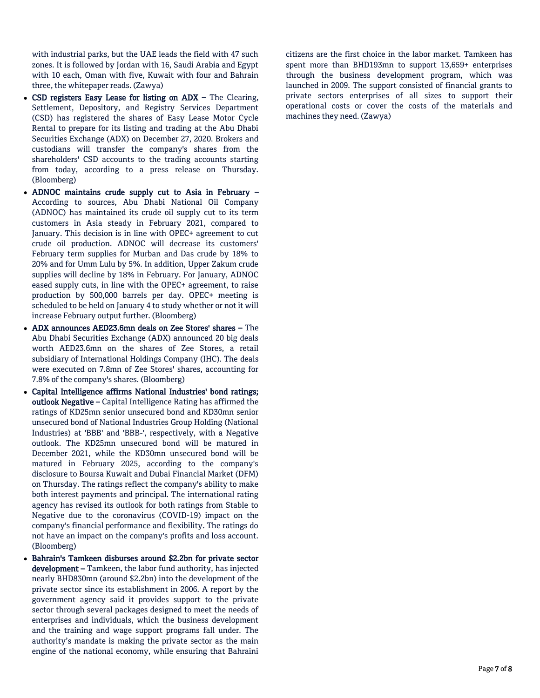with industrial parks, but the UAE leads the field with 47 such zones. It is followed by Jordan with 16, Saudi Arabia and Egypt with 10 each, Oman with five, Kuwait with four and Bahrain three, the whitepaper reads. (Zawya)

- CSD registers Easy Lease for listing on ADX The Clearing, Settlement, Depository, and Registry Services Department (CSD) has registered the shares of Easy Lease Motor Cycle Rental to prepare for its listing and trading at the Abu Dhabi Securities Exchange (ADX) on December 27, 2020. Brokers and custodians will transfer the company's shares from the shareholders' CSD accounts to the trading accounts starting from today, according to a press release on Thursday. (Bloomberg)
- ADNOC maintains crude supply cut to Asia in February According to sources, Abu Dhabi National Oil Company (ADNOC) has maintained its crude oil supply cut to its term customers in Asia steady in February 2021, compared to January. This decision is in line with OPEC+ agreement to cut crude oil production. ADNOC will decrease its customers' February term supplies for Murban and Das crude by 18% to 20% and for Umm Lulu by 5%. In addition, Upper Zakum crude supplies will decline by 18% in February. For January, ADNOC eased supply cuts, in line with the OPEC+ agreement, to raise production by 500,000 barrels per day. OPEC+ meeting is scheduled to be held on January 4 to study whether or not it will increase February output further. (Bloomberg)
- ADX announces AED23.6mn deals on Zee Stores' shares The Abu Dhabi Securities Exchange (ADX) announced 20 big deals worth AED23.6mn on the shares of Zee Stores, a retail subsidiary of International Holdings Company (IHC). The deals were executed on 7.8mn of Zee Stores' shares, accounting for 7.8% of the company's shares. (Bloomberg)
- Capital Intelligence affirms National Industries' bond ratings; outlook Negative – Capital Intelligence Rating has affirmed the ratings of KD25mn senior unsecured bond and KD30mn senior unsecured bond of National Industries Group Holding (National Industries) at 'BBB' and 'BBB-', respectively, with a Negative outlook. The KD25mn unsecured bond will be matured in December 2021, while the KD30mn unsecured bond will be matured in February 2025, according to the company's disclosure to Boursa Kuwait and Dubai Financial Market (DFM) on Thursday. The ratings reflect the company's ability to make both interest payments and principal. The international rating agency has revised its outlook for both ratings from Stable to Negative due to the coronavirus (COVID-19) impact on the company's financial performance and flexibility. The ratings do not have an impact on the company's profits and loss account. (Bloomberg)
- Bahrain's Tamkeen disburses around \$2.2bn for private sector development – Tamkeen, the labor fund authority, has injected nearly BHD830mn (around \$2.2bn) into the development of the private sector since its establishment in 2006. A report by the government agency said it provides support to the private sector through several packages designed to meet the needs of enterprises and individuals, which the business development and the training and wage support programs fall under. The authority's mandate is making the private sector as the main engine of the national economy, while ensuring that Bahraini

citizens are the first choice in the labor market. Tamkeen has spent more than BHD193mn to support 13,659+ enterprises through the business development program, which was launched in 2009. The support consisted of financial grants to private sectors enterprises of all sizes to support their operational costs or cover the costs of the materials and machines they need. (Zawya)